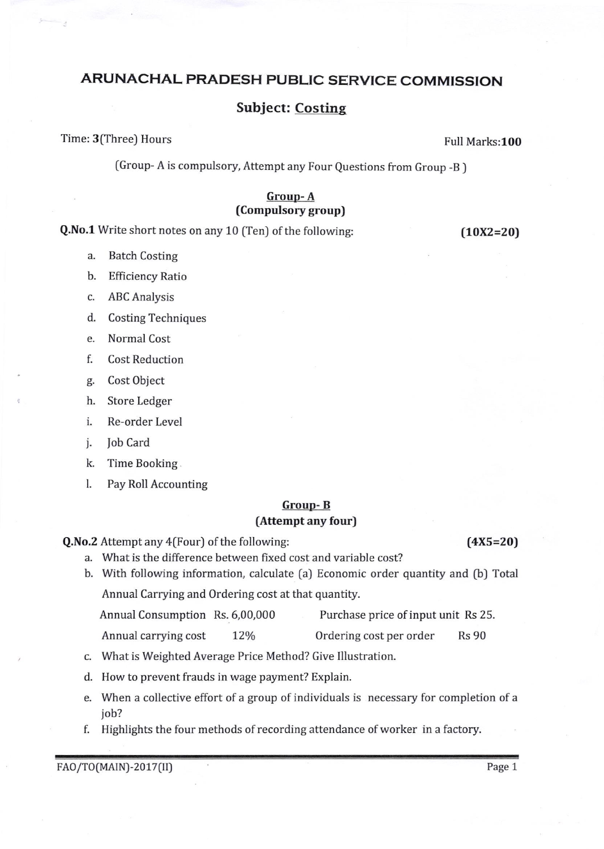## ARUNACHAL PRADESH PUBLIC SERVICE COMMISSION

### Subject: Costing

Time: 3(Three) Hours Full Marks:100

(Group- A is compulsory, Attempt any Four Questions from Group -B ]

#### Group- A (Compulsory group)

**Q.No.1** Write short notes on any 10 (Ten) of the following: (10X2=20)

- a. Batch Costing
- b. Efficiency Ratio
- c. ABC Analysis
- d. Costing Techniques
- e. Normal Cost
- f. Cost Reduction
- g. Cost Object
- h. Store Ledger
- i. Re-order Level
- j. fob Card
- k. Time Booking
- l. Pay Roll Accounting

# Grouo- B

### (Attempt any four)

Q.No.2 Attempt any 4(Four) of the following: (4X5=20)

b. With following information, calculate (a) Economic order quantity and (b) Total

Annual Carrying and Ordering cost at that quantity.

a. What is the difference between fixed cost and variable cost?

Annual Consumption Rs. 6,00,000 Purchase price of input unit Rs 25.

Annual carrying cost 12% Ordering cost per order Rs 90

- c. What is Weighted Average Price Method? Give Illustration.
- d. How to prevent frauds in wage payment? Explain.
- e. When a collective effort of a group of individuals is necessary for completion of <sup>a</sup> job?
- f. Highlights the four methods of recording attendance of worker in a factory.

FAO/TO(MAIN)-2017(II) Page 1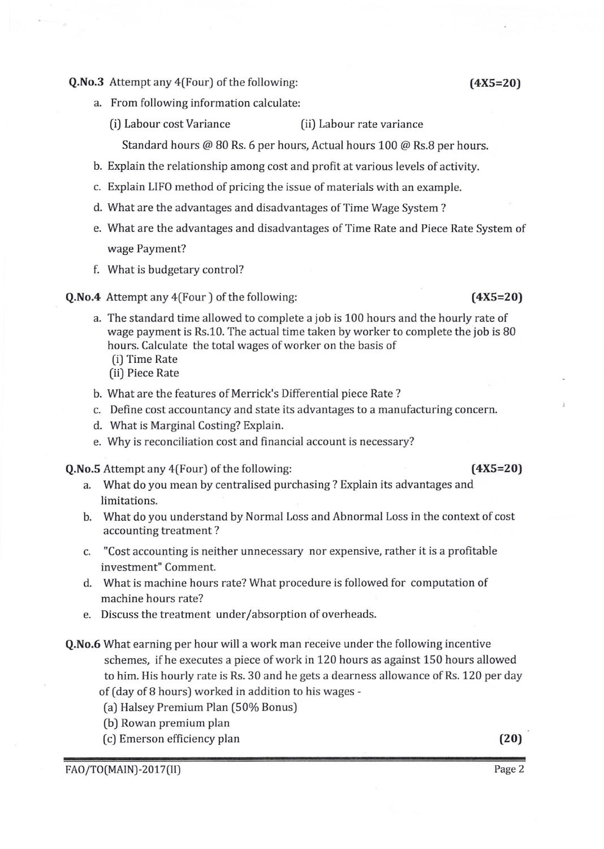$Q.No.3$  Attempt any  $4$ (Four) of the following:  $(4X5=20)$ 

- a. From following information calculate
	- (i) Labour cost Variance (ii) Labour rate variance

Standard hours @ 80 Rs. 6 per hours, Actual hours 100 @ Rs.8 per hours.

- b. Explain the relationship among cost and profit at various levels of activity.
- c. Explain LIFO method of pricing the issue of materials with an example.
- What are the advantages and disadvantages of Time Wage System ? d.
- e. What are the advantages and disadvantages of Time Rate and Piece Rate System of wage Payment?
- What is budgetary control? f.
- **Q.No.4** Attempt any 4(Four ) of the following: (4X5=20)

- a. The standard time allowed to complete a job is 100 hours and the hourly rate of wage payment is Rs.10. The actual time taken by worker to complete the job is 80 hours. Calculate the total wages of worker on the basis of
	- [i] Time Rate
	- [iiJ Piece Rate
- b. What are the features of Merrick's Differential piece Rate ?
- c. Define cost accountancy and state its advantages to a manufacturing concern.
- d. What is Marginal Costing? Explain.
- e. 'Why is reconciliation cost and financial account is necessary?

Q.No.S Attempt any 4(Four) of the following: (4X5=20)

a. What do you mean by centralised purchasing ? Explain its advantages and limitations.

- b. What do you understand by Normal Loss and Abnormal Loss in the context of cost accounting treatment ?
- c. "Cost accounting is neither unnecessary nor expensive, rather it is a profitable investment" Comment.
- d, What is machine hours rate? \iVhat procedure is followed for computation of machine hours rate?
- e. Discuss the treatment under/absorption of overheads.

Q.No.6 What earning per hour will a work man receive under the following incentive schemes, if he executes a piece of work in 120 hours as against 150 hours allowed to him. His hourly rate is Rs. 30 and he gets a dearness allowance of Rs. 120 per day of (day of 8 hours] worked in addition to his wages -

- [a) Halsey Premium Plan (50% Bonus)
- [b) Rowan premium plan
- (c) Emerson efficiency plan (20)

FAO/TO(MAIN)-2017(II)

Page Z